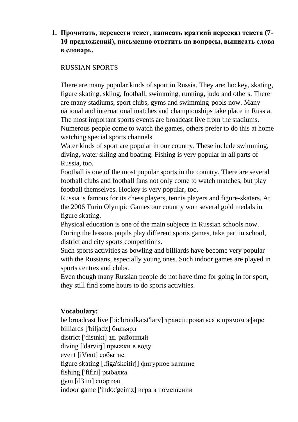## **1. Прочитать, перевести текст, написать краткий пересказ текста (7- 10 предложений), письменно ответить на вопросы, выписать слова в словарь.**

## RUSSIAN SPORTS

There are many popular kinds of sport in Russia. They are: hockey, skating, figure skating, skiing, football, swimming, running, judo and others. There are many stadiums, sport clubs, gyms and swimming-pools now. Many national and international matches and championships take place in Russia. The most important sports events are broadcast live from the stadiums. Numerous people come to watch the games, others prefer to do this at home watching special sports channels.

Water kinds of sport are popular in our country. These include swimming, diving, water skiing and boating. Fishing is very popular in all parts of Russia, too.

Football is one of the most popular sports in the country. There are several football clubs and football fans not only come to watch matches, but play football themselves. Hockey is very popular, too.

Russia is famous for its chess players, tennis players and figure-skaters. At the 2006 Turin Olympic Games our country won several gold medals in figure skating.

Physical education is one of the main subjects in Russian schools now. During the lessons pupils play different sports games, take part in school, district and city sports competitions.

Such sports activities as bowling and billiards have become very popular with the Russians, especially young ones. Such indoor games are played in sports centres and clubs.

Even though many Russian people do not have time for going in for sport, they still find some hours to do sports activities.

## **Vocabulary:**

be broadcast live [bi:'bro:dka:st'larv] транслироваться в прямом эфире billiards ['biljadz] бильярд district ['distnkt] зд. районный diving ['darvirj] прыжки в воду event [iVent] событие figure skating [.figa'skeitirj] фигурное катание fishing ['fifiri] рыбалка gym [d3im] спортзал indoor game ['indo:'geimz] игра в помещении